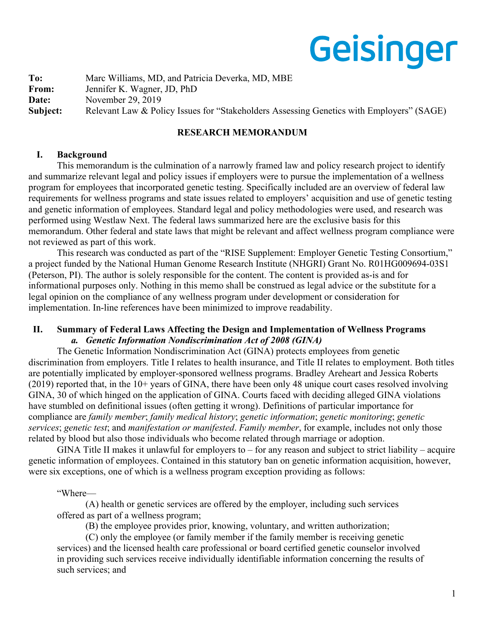# Geisinger

**To:** Marc Williams, MD, and Patricia Deverka, MD, MBE From: Jennifer K. Wagner, JD, PhD **Date:** November 29, 2019 **Subject:** Relevant Law & Policy Issues for "Stakeholders Assessing Genetics with Employers" (SAGE)

# **RESEARCH MEMORANDUM**

## **I. Background**

This memorandum is the culmination of a narrowly framed law and policy research project to identify and summarize relevant legal and policy issues if employers were to pursue the implementation of a wellness program for employees that incorporated genetic testing. Specifically included are an overview of federal law requirements for wellness programs and state issues related to employers' acquisition and use of genetic testing and genetic information of employees. Standard legal and policy methodologies were used, and research was performed using Westlaw Next. The federal laws summarized here are the exclusive basis for this memorandum. Other federal and state laws that might be relevant and affect wellness program compliance were not reviewed as part of this work.

This research was conducted as part of the "RISE Supplement: Employer Genetic Testing Consortium," a project funded by the National Human Genome Research Institute (NHGRI) Grant No. R01HG009694-03S1 (Peterson, PI). The author is solely responsible for the content. The content is provided as-is and for informational purposes only. Nothing in this memo shall be construed as legal advice or the substitute for a legal opinion on the compliance of any wellness program under development or consideration for implementation. In-line references have been minimized to improve readability.

## **II. Summary of Federal Laws Affecting the Design and Implementation of Wellness Programs**  *a. Genetic Information Nondiscrimination Act of 2008 (GINA)*

The Genetic Information Nondiscrimination Act (GINA) protects employees from genetic discrimination from employers. Title I relates to health insurance, and Title II relates to employment. Both titles are potentially implicated by employer-sponsored wellness programs. Bradley Areheart and Jessica Roberts (2019) reported that, in the 10+ years of GINA, there have been only 48 unique court cases resolved involving GINA, 30 of which hinged on the application of GINA. Courts faced with deciding alleged GINA violations have stumbled on definitional issues (often getting it wrong). Definitions of particular importance for compliance are *family member*; *family medical history*; *genetic information*; *genetic monitoring*; *genetic services*; *genetic test*; and *manifestation or manifested*. *Family member*, for example, includes not only those related by blood but also those individuals who become related through marriage or adoption.

GINA Title II makes it unlawful for employers to – for any reason and subject to strict liability – acquire genetic information of employees. Contained in this statutory ban on genetic information acquisition, however, were six exceptions, one of which is a wellness program exception providing as follows:

## "Where—

(A) health or genetic services are offered by the employer, including such services offered as part of a wellness program;

(B) the employee provides prior, knowing, voluntary, and written authorization;

(C) only the employee (or family member if the family member is receiving genetic services) and the licensed health care professional or board certified genetic counselor involved in providing such services receive individually identifiable information concerning the results of such services; and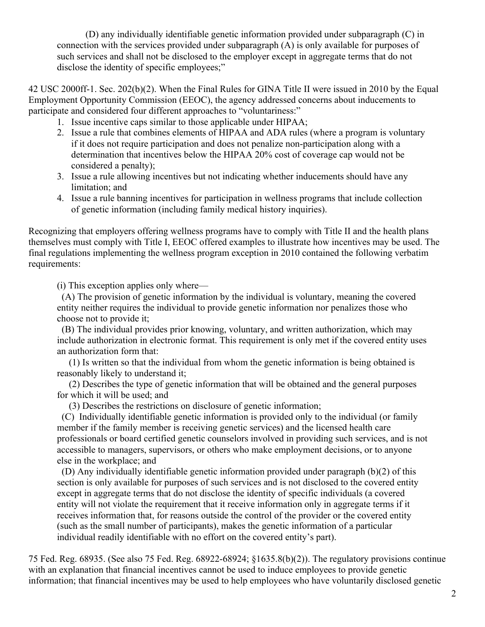(D) any individually identifiable genetic information provided under subparagraph (C) in connection with the services provided under subparagraph (A) is only available for purposes of such services and shall not be disclosed to the employer except in aggregate terms that do not disclose the identity of specific employees;"

42 USC 2000ff-1. Sec. 202(b)(2). When the Final Rules for GINA Title II were issued in 2010 by the Equal Employment Opportunity Commission (EEOC), the agency addressed concerns about inducements to participate and considered four different approaches to "voluntariness:"

- 1. Issue incentive caps similar to those applicable under HIPAA;
- 2. Issue a rule that combines elements of HIPAA and ADA rules (where a program is voluntary if it does not require participation and does not penalize non-participation along with a determination that incentives below the HIPAA 20% cost of coverage cap would not be considered a penalty);
- 3. Issue a rule allowing incentives but not indicating whether inducements should have any limitation; and
- 4. Issue a rule banning incentives for participation in wellness programs that include collection of genetic information (including family medical history inquiries).

Recognizing that employers offering wellness programs have to comply with Title II and the health plans themselves must comply with Title I, EEOC offered examples to illustrate how incentives may be used. The final regulations implementing the wellness program exception in 2010 contained the following verbatim requirements:

(i) This exception applies only where—

 (A) The provision of genetic information by the individual is voluntary, meaning the covered entity neither requires the individual to provide genetic information nor penalizes those who choose not to provide it;

 (B) The individual provides prior knowing, voluntary, and written authorization, which may include authorization in electronic format. This requirement is only met if the covered entity uses an authorization form that:

 (1) Is written so that the individual from whom the genetic information is being obtained is reasonably likely to understand it;

 (2) Describes the type of genetic information that will be obtained and the general purposes for which it will be used; and

(3) Describes the restrictions on disclosure of genetic information;

 (C) Individually identifiable genetic information is provided only to the individual (or family member if the family member is receiving genetic services) and the licensed health care professionals or board certified genetic counselors involved in providing such services, and is not accessible to managers, supervisors, or others who make employment decisions, or to anyone else in the workplace; and

 (D) Any individually identifiable genetic information provided under paragraph (b)(2) of this section is only available for purposes of such services and is not disclosed to the covered entity except in aggregate terms that do not disclose the identity of specific individuals (a covered entity will not violate the requirement that it receive information only in aggregate terms if it receives information that, for reasons outside the control of the provider or the covered entity (such as the small number of participants), makes the genetic information of a particular individual readily identifiable with no effort on the covered entity's part).

75 Fed. Reg. 68935. (See also 75 Fed. Reg. 68922-68924; §1635.8(b)(2)). The regulatory provisions continue with an explanation that financial incentives cannot be used to induce employees to provide genetic information; that financial incentives may be used to help employees who have voluntarily disclosed genetic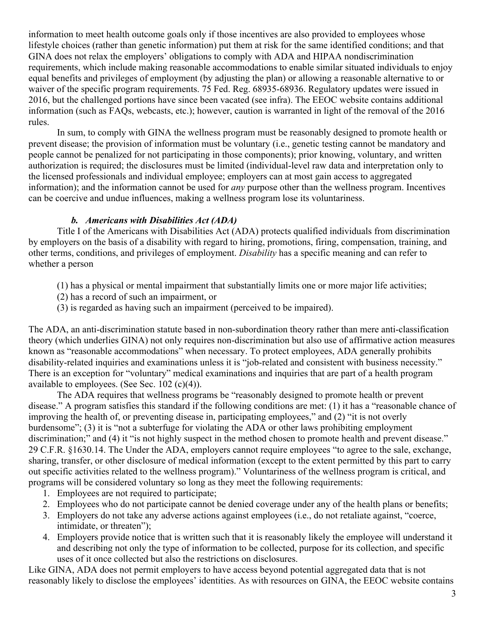information to meet health outcome goals only if those incentives are also provided to employees whose lifestyle choices (rather than genetic information) put them at risk for the same identified conditions; and that GINA does not relax the employers' obligations to comply with ADA and HIPAA nondiscrimination requirements, which include making reasonable accommodations to enable similar situated individuals to enjoy equal benefits and privileges of employment (by adjusting the plan) or allowing a reasonable alternative to or waiver of the specific program requirements. 75 Fed. Reg. 68935-68936. Regulatory updates were issued in 2016, but the challenged portions have since been vacated (see infra). The EEOC website contains additional information (such as FAQs, webcasts, etc.); however, caution is warranted in light of the removal of the 2016 rules.

In sum, to comply with GINA the wellness program must be reasonably designed to promote health or prevent disease; the provision of information must be voluntary (i.e., genetic testing cannot be mandatory and people cannot be penalized for not participating in those components); prior knowing, voluntary, and written authorization is required; the disclosures must be limited (individual-level raw data and interpretation only to the licensed professionals and individual employee; employers can at most gain access to aggregated information); and the information cannot be used for *any* purpose other than the wellness program. Incentives can be coercive and undue influences, making a wellness program lose its voluntariness.

## *b. Americans with Disabilities Act (ADA)*

Title I of the Americans with Disabilities Act (ADA) protects qualified individuals from discrimination by employers on the basis of a disability with regard to hiring, promotions, firing, compensation, training, and other terms, conditions, and privileges of employment. *Disability* has a specific meaning and can refer to whether a person

- (1) has a physical or mental impairment that substantially limits one or more major life activities;
- (2) has a record of such an impairment, or
- (3) is regarded as having such an impairment (perceived to be impaired).

The ADA, an anti-discrimination statute based in non-subordination theory rather than mere anti-classification theory (which underlies GINA) not only requires non-discrimination but also use of affirmative action measures known as "reasonable accommodations" when necessary. To protect employees, ADA generally prohibits disability-related inquiries and examinations unless it is "job-related and consistent with business necessity." There is an exception for "voluntary" medical examinations and inquiries that are part of a health program available to employees. (See Sec. 102 (c)(4)).

The ADA requires that wellness programs be "reasonably designed to promote health or prevent disease." A program satisfies this standard if the following conditions are met: (1) it has a "reasonable chance of improving the health of, or preventing disease in, participating employees," and (2) "it is not overly burdensome"; (3) it is "not a subterfuge for violating the ADA or other laws prohibiting employment discrimination;" and (4) it "is not highly suspect in the method chosen to promote health and prevent disease." 29 C.F.R. §1630.14. The Under the ADA, employers cannot require employees "to agree to the sale, exchange, sharing, transfer, or other disclosure of medical information (except to the extent permitted by this part to carry out specific activities related to the wellness program)." Voluntariness of the wellness program is critical, and programs will be considered voluntary so long as they meet the following requirements:

- 1. Employees are not required to participate;
- 2. Employees who do not participate cannot be denied coverage under any of the health plans or benefits;
- 3. Employers do not take any adverse actions against employees (i.e., do not retaliate against, "coerce, intimidate, or threaten");
- 4. Employers provide notice that is written such that it is reasonably likely the employee will understand it and describing not only the type of information to be collected, purpose for its collection, and specific uses of it once collected but also the restrictions on disclosures.

Like GINA, ADA does not permit employers to have access beyond potential aggregated data that is not reasonably likely to disclose the employees' identities. As with resources on GINA, the EEOC website contains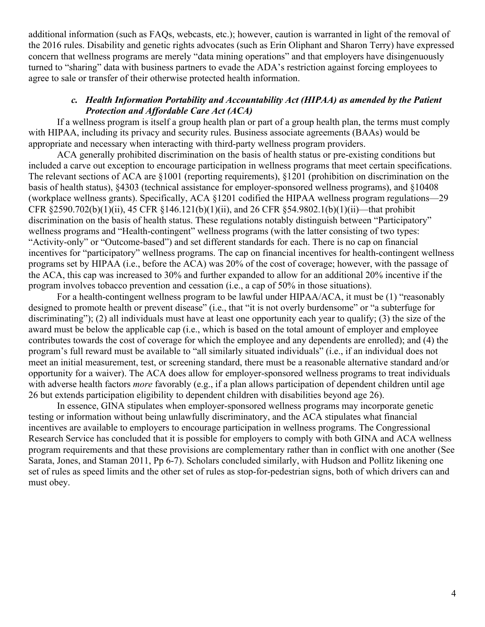additional information (such as FAQs, webcasts, etc.); however, caution is warranted in light of the removal of the 2016 rules. Disability and genetic rights advocates (such as Erin Oliphant and Sharon Terry) have expressed concern that wellness programs are merely "data mining operations" and that employers have disingenuously turned to "sharing" data with business partners to evade the ADA's restriction against forcing employees to agree to sale or transfer of their otherwise protected health information.

## *c. Health Information Portability and Accountability Act (HIPAA) as amended by the Patient Protection and Affordable Care Act (ACA)*

If a wellness program is itself a group health plan or part of a group health plan, the terms must comply with HIPAA, including its privacy and security rules. Business associate agreements (BAAs) would be appropriate and necessary when interacting with third-party wellness program providers.

ACA generally prohibited discrimination on the basis of health status or pre-existing conditions but included a carve out exception to encourage participation in wellness programs that meet certain specifications. The relevant sections of ACA are §1001 (reporting requirements), §1201 (prohibition on discrimination on the basis of health status), §4303 (technical assistance for employer-sponsored wellness programs), and §10408 (workplace wellness grants). Specifically, ACA §1201 codified the HIPAA wellness program regulations—29 CFR §2590.702(b)(1)(ii), 45 CFR §146.121(b)(1)(ii), and 26 CFR §54.9802.1(b)(1)(ii)—that prohibit discrimination on the basis of health status. These regulations notably distinguish between "Participatory" wellness programs and "Health-contingent" wellness programs (with the latter consisting of two types: "Activity-only" or "Outcome-based") and set different standards for each. There is no cap on financial incentives for "participatory" wellness programs. The cap on financial incentives for health-contingent wellness programs set by HIPAA (i.e., before the ACA) was 20% of the cost of coverage; however, with the passage of the ACA, this cap was increased to 30% and further expanded to allow for an additional 20% incentive if the program involves tobacco prevention and cessation (i.e., a cap of 50% in those situations).

For a health-contingent wellness program to be lawful under HIPAA/ACA, it must be (1) "reasonably designed to promote health or prevent disease" (i.e., that "it is not overly burdensome" or "a subterfuge for discriminating"); (2) all individuals must have at least one opportunity each year to qualify; (3) the size of the award must be below the applicable cap (i.e., which is based on the total amount of employer and employee contributes towards the cost of coverage for which the employee and any dependents are enrolled); and (4) the program's full reward must be available to "all similarly situated individuals" (i.e., if an individual does not meet an initial measurement, test, or screening standard, there must be a reasonable alternative standard and/or opportunity for a waiver). The ACA does allow for employer-sponsored wellness programs to treat individuals with adverse health factors *more* favorably (e.g., if a plan allows participation of dependent children until age 26 but extends participation eligibility to dependent children with disabilities beyond age 26).

In essence, GINA stipulates when employer-sponsored wellness programs may incorporate genetic testing or information without being unlawfully discriminatory, and the ACA stipulates what financial incentives are available to employers to encourage participation in wellness programs. The Congressional Research Service has concluded that it is possible for employers to comply with both GINA and ACA wellness program requirements and that these provisions are complementary rather than in conflict with one another (See Sarata, Jones, and Staman 2011, Pp 6-7). Scholars concluded similarly, with Hudson and Pollitz likening one set of rules as speed limits and the other set of rules as stop-for-pedestrian signs, both of which drivers can and must obey.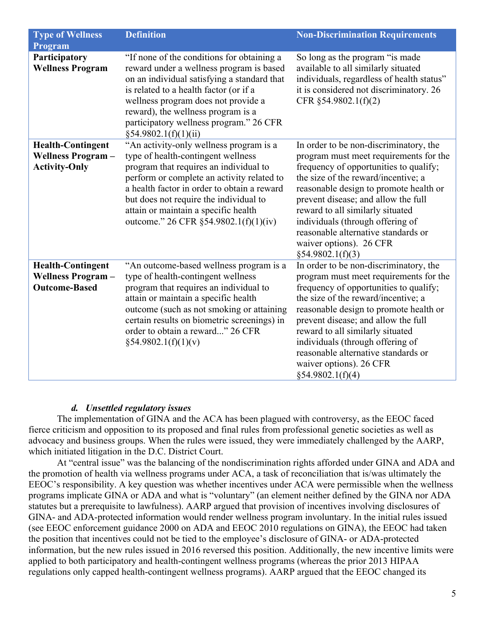| <b>Type of Wellness</b>                                                      | <b>Definition</b>                                                                                                                                                                                                                                                                                                                               | <b>Non-Discrimination Requirements</b>                                                                                                                                                                                                                                                                                                                                                                           |
|------------------------------------------------------------------------------|-------------------------------------------------------------------------------------------------------------------------------------------------------------------------------------------------------------------------------------------------------------------------------------------------------------------------------------------------|------------------------------------------------------------------------------------------------------------------------------------------------------------------------------------------------------------------------------------------------------------------------------------------------------------------------------------------------------------------------------------------------------------------|
| Program                                                                      |                                                                                                                                                                                                                                                                                                                                                 |                                                                                                                                                                                                                                                                                                                                                                                                                  |
| Participatory<br><b>Wellness Program</b>                                     | "If none of the conditions for obtaining a<br>reward under a wellness program is based<br>on an individual satisfying a standard that<br>is related to a health factor (or if a<br>wellness program does not provide a<br>reward), the wellness program is a<br>participatory wellness program." 26 CFR<br>§54.9802.1(f)(1)(ii)                 | So long as the program "is made<br>available to all similarly situated<br>individuals, regardless of health status"<br>it is considered not discriminatory. 26<br>CFR §54.9802.1(f)(2)                                                                                                                                                                                                                           |
| <b>Health-Contingent</b><br><b>Wellness Program-</b><br><b>Activity-Only</b> | "An activity-only wellness program is a<br>type of health-contingent wellness<br>program that requires an individual to<br>perform or complete an activity related to<br>a health factor in order to obtain a reward<br>but does not require the individual to<br>attain or maintain a specific health<br>outcome." 26 CFR §54.9802.1(f)(1)(iv) | In order to be non-discriminatory, the<br>program must meet requirements for the<br>frequency of opportunities to qualify;<br>the size of the reward/incentive; a<br>reasonable design to promote health or<br>prevent disease; and allow the full<br>reward to all similarly situated<br>individuals (through offering of<br>reasonable alternative standards or<br>waiver options). 26 CFR<br>§54.9802.1(f)(3) |
| <b>Health-Contingent</b><br><b>Wellness Program-</b><br><b>Outcome-Based</b> | "An outcome-based wellness program is a<br>type of health-contingent wellness<br>program that requires an individual to<br>attain or maintain a specific health<br>outcome (such as not smoking or attaining<br>certain results on biometric screenings) in<br>order to obtain a reward" 26 CFR<br>§54.9802.1(f)(1)(v)                          | In order to be non-discriminatory, the<br>program must meet requirements for the<br>frequency of opportunities to qualify;<br>the size of the reward/incentive; a<br>reasonable design to promote health or<br>prevent disease; and allow the full<br>reward to all similarly situated<br>individuals (through offering of<br>reasonable alternative standards or<br>waiver options). 26 CFR<br>§54.9802.1(f)(4) |

# *d. Unsettled regulatory issues*

The implementation of GINA and the ACA has been plagued with controversy, as the EEOC faced fierce criticism and opposition to its proposed and final rules from professional genetic societies as well as advocacy and business groups. When the rules were issued, they were immediately challenged by the AARP, which initiated litigation in the D.C. District Court.

At "central issue" was the balancing of the nondiscrimination rights afforded under GINA and ADA and the promotion of health via wellness programs under ACA, a task of reconciliation that is/was ultimately the EEOC's responsibility. A key question was whether incentives under ACA were permissible when the wellness programs implicate GINA or ADA and what is "voluntary" (an element neither defined by the GINA nor ADA statutes but a prerequisite to lawfulness). AARP argued that provision of incentives involving disclosures of GINA- and ADA-protected information would render wellness program involuntary. In the initial rules issued (see EEOC enforcement guidance 2000 on ADA and EEOC 2010 regulations on GINA), the EEOC had taken the position that incentives could not be tied to the employee's disclosure of GINA- or ADA-protected information, but the new rules issued in 2016 reversed this position. Additionally, the new incentive limits were applied to both participatory and health-contingent wellness programs (whereas the prior 2013 HIPAA regulations only capped health-contingent wellness programs). AARP argued that the EEOC changed its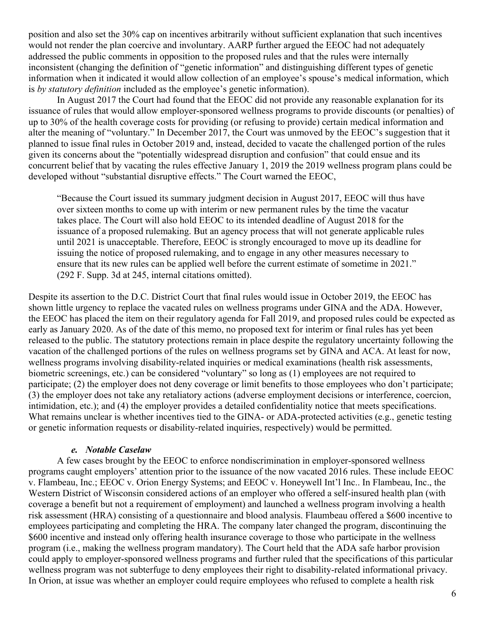position and also set the 30% cap on incentives arbitrarily without sufficient explanation that such incentives would not render the plan coercive and involuntary. AARP further argued the EEOC had not adequately addressed the public comments in opposition to the proposed rules and that the rules were internally inconsistent (changing the definition of "genetic information" and distinguishing different types of genetic information when it indicated it would allow collection of an employee's spouse's medical information, which is *by statutory definition* included as the employee's genetic information).

In August 2017 the Court had found that the EEOC did not provide any reasonable explanation for its issuance of rules that would allow employer-sponsored wellness programs to provide discounts (or penalties) of up to 30% of the health coverage costs for providing (or refusing to provide) certain medical information and alter the meaning of "voluntary." In December 2017, the Court was unmoved by the EEOC's suggestion that it planned to issue final rules in October 2019 and, instead, decided to vacate the challenged portion of the rules given its concerns about the "potentially widespread disruption and confusion" that could ensue and its concurrent belief that by vacating the rules effective January 1, 2019 the 2019 wellness program plans could be developed without "substantial disruptive effects." The Court warned the EEOC,

"Because the Court issued its summary judgment decision in August 2017, EEOC will thus have over sixteen months to come up with interim or new permanent rules by the time the vacatur takes place. The Court will also hold EEOC to its intended deadline of August 2018 for the issuance of a proposed rulemaking. But an agency process that will not generate applicable rules until 2021 is unacceptable. Therefore, EEOC is strongly encouraged to move up its deadline for issuing the notice of proposed rulemaking, and to engage in any other measures necessary to ensure that its new rules can be applied well before the current estimate of sometime in 2021." (292 F. Supp. 3d at 245, internal citations omitted).

Despite its assertion to the D.C. District Court that final rules would issue in October 2019, the EEOC has shown little urgency to replace the vacated rules on wellness programs under GINA and the ADA. However, the EEOC has placed the item on their regulatory agenda for Fall 2019, and proposed rules could be expected as early as January 2020. As of the date of this memo, no proposed text for interim or final rules has yet been released to the public. The statutory protections remain in place despite the regulatory uncertainty following the vacation of the challenged portions of the rules on wellness programs set by GINA and ACA. At least for now, wellness programs involving disability-related inquiries or medical examinations (health risk assessments, biometric screenings, etc.) can be considered "voluntary" so long as (1) employees are not required to participate; (2) the employer does not deny coverage or limit benefits to those employees who don't participate; (3) the employer does not take any retaliatory actions (adverse employment decisions or interference, coercion, intimidation, etc.); and (4) the employer provides a detailed confidentiality notice that meets specifications. What remains unclear is whether incentives tied to the GINA- or ADA-protected activities (e.g., genetic testing or genetic information requests or disability-related inquiries, respectively) would be permitted.

### *e. Notable Caselaw*

A few cases brought by the EEOC to enforce nondiscrimination in employer-sponsored wellness programs caught employers' attention prior to the issuance of the now vacated 2016 rules. These include EEOC v. Flambeau, Inc.; EEOC v. Orion Energy Systems; and EEOC v. Honeywell Int'l Inc.. In Flambeau, Inc., the Western District of Wisconsin considered actions of an employer who offered a self-insured health plan (with coverage a benefit but not a requirement of employment) and launched a wellness program involving a health risk assessment (HRA) consisting of a questionnaire and blood analysis. Flaumbeau offered a \$600 incentive to employees participating and completing the HRA. The company later changed the program, discontinuing the \$600 incentive and instead only offering health insurance coverage to those who participate in the wellness program (i.e., making the wellness program mandatory). The Court held that the ADA safe harbor provision could apply to employer-sponsored wellness programs and further ruled that the specifications of this particular wellness program was not subterfuge to deny employees their right to disability-related informational privacy. In Orion, at issue was whether an employer could require employees who refused to complete a health risk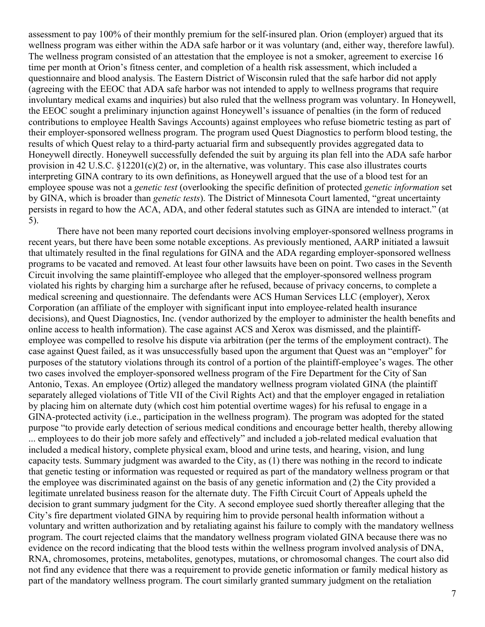assessment to pay 100% of their monthly premium for the self-insured plan. Orion (employer) argued that its wellness program was either within the ADA safe harbor or it was voluntary (and, either way, therefore lawful). The wellness program consisted of an attestation that the employee is not a smoker, agreement to exercise 16 time per month at Orion's fitness center, and completion of a health risk assessment, which included a questionnaire and blood analysis. The Eastern District of Wisconsin ruled that the safe harbor did not apply (agreeing with the EEOC that ADA safe harbor was not intended to apply to wellness programs that require involuntary medical exams and inquiries) but also ruled that the wellness program was voluntary. In Honeywell, the EEOC sought a preliminary injunction against Honeywell's issuance of penalties (in the form of reduced contributions to employee Health Savings Accounts) against employees who refuse biometric testing as part of their employer-sponsored wellness program. The program used Quest Diagnostics to perform blood testing, the results of which Quest relay to a third-party actuarial firm and subsequently provides aggregated data to Honeywell directly. Honeywell successfully defended the suit by arguing its plan fell into the ADA safe harbor provision in 42 U.S.C. §12201(c)(2) or, in the alternative, was voluntary. This case also illustrates courts interpreting GINA contrary to its own definitions, as Honeywell argued that the use of a blood test for an employee spouse was not a *genetic test* (overlooking the specific definition of protected *genetic information* set by GINA, which is broader than *genetic tests*). The District of Minnesota Court lamented, "great uncertainty persists in regard to how the ACA, ADA, and other federal statutes such as GINA are intended to interact." (at 5).

There have not been many reported court decisions involving employer-sponsored wellness programs in recent years, but there have been some notable exceptions. As previously mentioned, AARP initiated a lawsuit that ultimately resulted in the final regulations for GINA and the ADA regarding employer-sponsored wellness programs to be vacated and removed. At least four other lawsuits have been on point. Two cases in the Seventh Circuit involving the same plaintiff-employee who alleged that the employer-sponsored wellness program violated his rights by charging him a surcharge after he refused, because of privacy concerns, to complete a medical screening and questionnaire. The defendants were ACS Human Services LLC (employer), Xerox Corporation (an affiliate of the employer with significant input into employee-related health insurance decisions), and Quest Diagnostics, Inc. (vendor authorized by the employer to administer the health benefits and online access to health information). The case against ACS and Xerox was dismissed, and the plaintiffemployee was compelled to resolve his dispute via arbitration (per the terms of the employment contract). The case against Quest failed, as it was unsuccessfully based upon the argument that Quest was an "employer" for purposes of the statutory violations through its control of a portion of the plaintiff-employee's wages. The other two cases involved the employer-sponsored wellness program of the Fire Department for the City of San Antonio, Texas. An employee (Ortiz) alleged the mandatory wellness program violated GINA (the plaintiff separately alleged violations of Title VII of the Civil Rights Act) and that the employer engaged in retaliation by placing him on alternate duty (which cost him potential overtime wages) for his refusal to engage in a GINA-protected activity (i.e., participation in the wellness program). The program was adopted for the stated purpose "to provide early detection of serious medical conditions and encourage better health, thereby allowing ... employees to do their job more safely and effectively" and included a job-related medical evaluation that included a medical history, complete physical exam, blood and urine tests, and hearing, vision, and lung capacity tests. Summary judgment was awarded to the City, as (1) there was nothing in the record to indicate that genetic testing or information was requested or required as part of the mandatory wellness program or that the employee was discriminated against on the basis of any genetic information and (2) the City provided a legitimate unrelated business reason for the alternate duty. The Fifth Circuit Court of Appeals upheld the decision to grant summary judgment for the City. A second employee sued shortly thereafter alleging that the City's fire department violated GINA by requiring him to provide personal health information without a voluntary and written authorization and by retaliating against his failure to comply with the mandatory wellness program. The court rejected claims that the mandatory wellness program violated GINA because there was no evidence on the record indicating that the blood tests within the wellness program involved analysis of DNA, RNA, chromosomes, proteins, metabolites, genotypes, mutations, or chromosomal changes. The court also did not find any evidence that there was a requirement to provide genetic information or family medical history as part of the mandatory wellness program. The court similarly granted summary judgment on the retaliation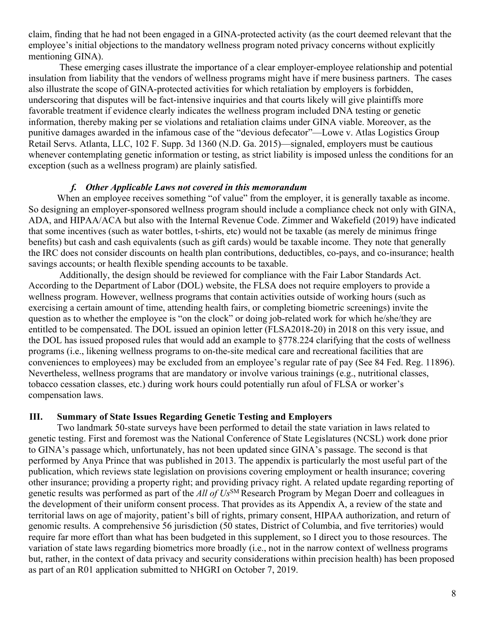claim, finding that he had not been engaged in a GINA-protected activity (as the court deemed relevant that the employee's initial objections to the mandatory wellness program noted privacy concerns without explicitly mentioning GINA).

These emerging cases illustrate the importance of a clear employer-employee relationship and potential insulation from liability that the vendors of wellness programs might have if mere business partners. The cases also illustrate the scope of GINA-protected activities for which retaliation by employers is forbidden, underscoring that disputes will be fact-intensive inquiries and that courts likely will give plaintiffs more favorable treatment if evidence clearly indicates the wellness program included DNA testing or genetic information, thereby making per se violations and retaliation claims under GINA viable. Moreover, as the punitive damages awarded in the infamous case of the "devious defecator"—Lowe v. Atlas Logistics Group Retail Servs. Atlanta, LLC, 102 F. Supp. 3d 1360 (N.D. Ga. 2015)—signaled, employers must be cautious whenever contemplating genetic information or testing, as strict liability is imposed unless the conditions for an exception (such as a wellness program) are plainly satisfied.

## *f. Other Applicable Laws not covered in this memorandum*

When an employee receives something "of value" from the employer, it is generally taxable as income. So designing an employer-sponsored wellness program should include a compliance check not only with GINA, ADA, and HIPAA/ACA but also with the Internal Revenue Code. Zimmer and Wakefield (2019) have indicated that some incentives (such as water bottles, t-shirts, etc) would not be taxable (as merely de minimus fringe benefits) but cash and cash equivalents (such as gift cards) would be taxable income. They note that generally the IRC does not consider discounts on health plan contributions, deductibles, co-pays, and co-insurance; health savings accounts; or health flexible spending accounts to be taxable.

Additionally, the design should be reviewed for compliance with the Fair Labor Standards Act. According to the Department of Labor (DOL) website, the FLSA does not require employers to provide a wellness program. However, wellness programs that contain activities outside of working hours (such as exercising a certain amount of time, attending health fairs, or completing biometric screenings) invite the question as to whether the employee is "on the clock" or doing job-related work for which he/she/they are entitled to be compensated. The DOL issued an opinion letter (FLSA2018-20) in 2018 on this very issue, and the DOL has issued proposed rules that would add an example to §778.224 clarifying that the costs of wellness programs (i.e., likening wellness programs to on-the-site medical care and recreational facilities that are conveniences to employees) may be excluded from an employee's regular rate of pay (See 84 Fed. Reg. 11896). Nevertheless, wellness programs that are mandatory or involve various trainings (e.g., nutritional classes, tobacco cessation classes, etc.) during work hours could potentially run afoul of FLSA or worker's compensation laws.

#### **III. Summary of State Issues Regarding Genetic Testing and Employers**

Two landmark 50-state surveys have been performed to detail the state variation in laws related to genetic testing. First and foremost was the National Conference of State Legislatures (NCSL) work done prior to GINA's passage which, unfortunately, has not been updated since GINA's passage. The second is that performed by Anya Prince that was published in 2013. The appendix is particularly the most useful part of the publication, which reviews state legislation on provisions covering employment or health insurance; covering other insurance; providing a property right; and providing privacy right. A related update regarding reporting of genetic results was performed as part of the *All of Us*SM Research Program by Megan Doerr and colleagues in the development of their uniform consent process. That provides as its Appendix A, a review of the state and territorial laws on age of majority, patient's bill of rights, primary consent, HIPAA authorization, and return of genomic results. A comprehensive 56 jurisdiction (50 states, District of Columbia, and five territories) would require far more effort than what has been budgeted in this supplement, so I direct you to those resources. The variation of state laws regarding biometrics more broadly (i.e., not in the narrow context of wellness programs but, rather, in the context of data privacy and security considerations within precision health) has been proposed as part of an R01 application submitted to NHGRI on October 7, 2019.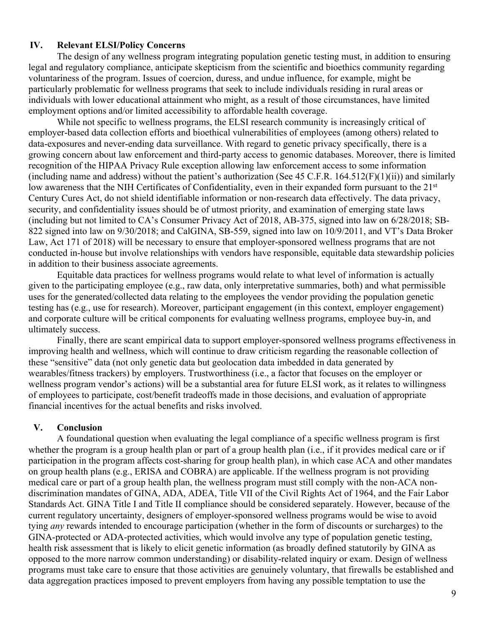## **IV. Relevant ELSI/Policy Concerns**

The design of any wellness program integrating population genetic testing must, in addition to ensuring legal and regulatory compliance, anticipate skepticism from the scientific and bioethics community regarding voluntariness of the program. Issues of coercion, duress, and undue influence, for example, might be particularly problematic for wellness programs that seek to include individuals residing in rural areas or individuals with lower educational attainment who might, as a result of those circumstances, have limited employment options and/or limited accessibility to affordable health coverage.

While not specific to wellness programs, the ELSI research community is increasingly critical of employer-based data collection efforts and bioethical vulnerabilities of employees (among others) related to data-exposures and never-ending data surveillance. With regard to genetic privacy specifically, there is a growing concern about law enforcement and third-party access to genomic databases. Moreover, there is limited recognition of the HIPAA Privacy Rule exception allowing law enforcement access to some information (including name and address) without the patient's authorization (See 45 C.F.R. 164.512(F)(1)(ii)) and similarly low awareness that the NIH Certificates of Confidentiality, even in their expanded form pursuant to the 21<sup>st</sup> Century Cures Act, do not shield identifiable information or non-research data effectively. The data privacy, security, and confidentiality issues should be of utmost priority, and examination of emerging state laws (including but not limited to CA's Consumer Privacy Act of 2018, AB-375, signed into law on 6/28/2018; SB-822 signed into law on 9/30/2018; and CalGINA, SB-559, signed into law on 10/9/2011, and VT's Data Broker Law, Act 171 of 2018) will be necessary to ensure that employer-sponsored wellness programs that are not conducted in-house but involve relationships with vendors have responsible, equitable data stewardship policies in addition to their business associate agreements.

Equitable data practices for wellness programs would relate to what level of information is actually given to the participating employee (e.g., raw data, only interpretative summaries, both) and what permissible uses for the generated/collected data relating to the employees the vendor providing the population genetic testing has (e.g., use for research). Moreover, participant engagement (in this context, employer engagement) and corporate culture will be critical components for evaluating wellness programs, employee buy-in, and ultimately success.

Finally, there are scant empirical data to support employer-sponsored wellness programs effectiveness in improving health and wellness, which will continue to draw criticism regarding the reasonable collection of these "sensitive" data (not only genetic data but geolocation data imbedded in data generated by wearables/fitness trackers) by employers. Trustworthiness (i.e., a factor that focuses on the employer or wellness program vendor's actions) will be a substantial area for future ELSI work, as it relates to willingness of employees to participate, cost/benefit tradeoffs made in those decisions, and evaluation of appropriate financial incentives for the actual benefits and risks involved.

### **V. Conclusion**

A foundational question when evaluating the legal compliance of a specific wellness program is first whether the program is a group health plan or part of a group health plan (i.e., if it provides medical care or if participation in the program affects cost-sharing for group health plan), in which case ACA and other mandates on group health plans (e.g., ERISA and COBRA) are applicable. If the wellness program is not providing medical care or part of a group health plan, the wellness program must still comply with the non-ACA nondiscrimination mandates of GINA, ADA, ADEA, Title VII of the Civil Rights Act of 1964, and the Fair Labor Standards Act. GINA Title I and Title II compliance should be considered separately. However, because of the current regulatory uncertainty, designers of employer-sponsored wellness programs would be wise to avoid tying *any* rewards intended to encourage participation (whether in the form of discounts or surcharges) to the GINA-protected or ADA-protected activities, which would involve any type of population genetic testing, health risk assessment that is likely to elicit genetic information (as broadly defined statutorily by GINA as opposed to the more narrow common understanding) or disability-related inquiry or exam. Design of wellness programs must take care to ensure that those activities are genuinely voluntary, that firewalls be established and data aggregation practices imposed to prevent employers from having any possible temptation to use the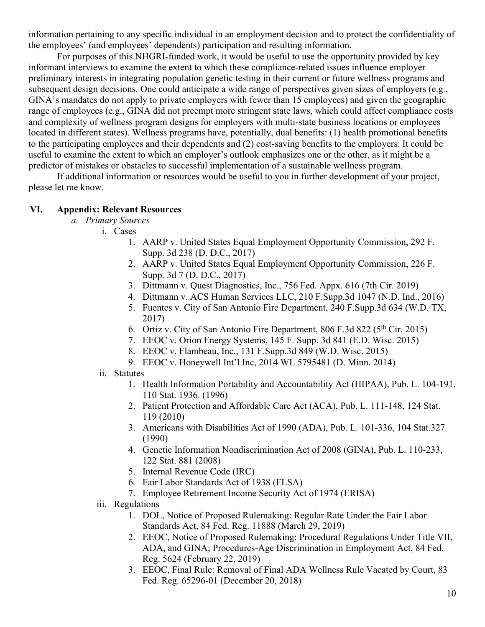information pertaining to any specific individual in an employment decision and to protect the confidentiality of the employees' (and employees' dependents) participation and resulting information.

For purposes of this NHGRI-funded work, it would be useful to use the opportunity provided by key informant interviews to examine the extent to which these compliance-related issues influence employer preliminary interests in integrating population genetic testing in their current or future wellness programs and subsequent design decisions. One could anticipate a wide range of perspectives given sizes of employers (e.g., GINA's mandates do not apply to private employers with fewer than 15 employees) and given the geographic range of employees (e.g., GINA did not preempt more stringent state laws, which could affect compliance costs and complexity of wellness program designs for employers with multi-state business locations or employees located in different states). Wellness programs have, potentially, dual benefits: (1) health promotional benefits to the participating employees and their dependents and (2) cost-saving benefits to the employers. It could be useful to examine the extent to which an employer's outlook emphasizes one or the other, as it might be a predictor of mistakes or obstacles to successful implementation of a sustainable wellness program.

If additional information or resources would be useful to you in further development of your project, please let me know.

## **VI. Appendix: Relevant Resources**

- *a. Primary Sources*
	- i. Cases
		- 1. AARP v. United States Equal Employment Opportunity Commission, 292 F. Supp. 3d 238 (D. D.C., 2017)
		- 2. AARP v. United States Equal Employment Opportunity Commission, 226 F. Supp. 3d 7 (D. D.C., 2017)
		- 3. Dittmann v. Quest Diagnostics, Inc., 756 Fed. Appx. 616 (7th Cir. 2019)
		- 4. Dittmann v. ACS Human Services LLC, 210 F.Supp.3d 1047 (N.D. Ind., 2016)
		- 5. Fuentes v. City of San Antonio Fire Department, 240 F.Supp.3d 634 (W.D. TX, 2017)
		- 6. Ortiz v. City of San Antonio Fire Department,  $806$  F.3d  $822$  ( $5<sup>th</sup>$  Cir. 2015)
		- 7. EEOC v. Orion Energy Systems, 145 F. Supp. 3d 841 (E.D. Wisc. 2015)
		- 8. EEOC v. Flambeau, Inc., 131 F.Supp.3d 849 (W.D. Wisc. 2015)
		- 9. EEOC v. Honeywell Int'l Inc, 2014 WL 5795481 (D. Minn. 2014)
		- ii. Statutes
			- 1. Health Information Portability and Accountability Act (HIPAA), Pub. L. 104-191, 110 Stat. 1936. (1996)
			- 2. Patient Protection and Affordable Care Act (ACA), Pub. L. 111-148, 124 Stat. 119 (2010)
			- 3. Americans with Disabilities Act of 1990 (ADA), Pub. L. 101-336, 104 Stat.327 (1990)
			- 4. Genetic Information Nondiscrimination Act of 2008 (GINA), Pub. L. 110-233, 122 Stat. 881 (2008)
			- 5. Internal Revenue Code (IRC)
			- 6. Fair Labor Standards Act of 1938 (FLSA)
			- 7. Employee Retirement Income Security Act of 1974 (ERISA)
		- iii. Regulations
			- 1. DOL, Notice of Proposed Rulemaking: Regular Rate Under the Fair Labor Standards Act, 84 Fed. Reg. 11888 (March 29, 2019)
			- 2. EEOC, Notice of Proposed Rulemaking: Procedural Regulations Under Title VII, ADA, and GINA; Procedures-Age Discrimination in Employment Act, 84 Fed. Reg. 5624 (February 22, 2019)
			- 3. EEOC, Final Rule: Removal of Final ADA Wellness Rule Vacated by Court, 83 Fed. Reg. 65296-01 (December 20, 2018)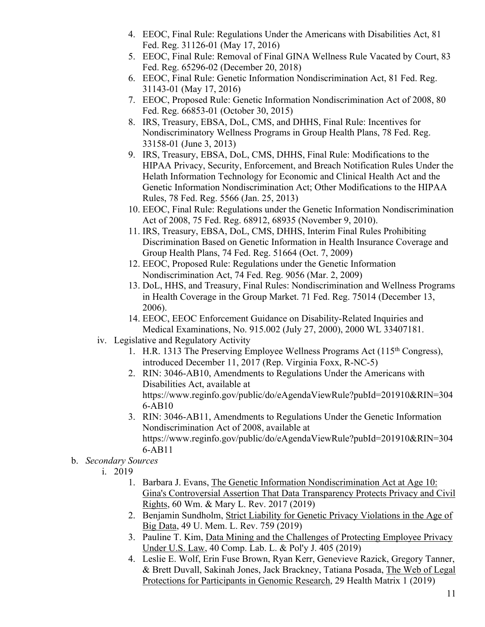- 4. EEOC, Final Rule: Regulations Under the Americans with Disabilities Act, 81 Fed. Reg. 31126-01 (May 17, 2016)
- 5. EEOC, Final Rule: Removal of Final GINA Wellness Rule Vacated by Court, 83 Fed. Reg. 65296-02 (December 20, 2018)
- 6. EEOC, Final Rule: Genetic Information Nondiscrimination Act, 81 Fed. Reg. 31143-01 (May 17, 2016)
- 7. EEOC, Proposed Rule: Genetic Information Nondiscrimination Act of 2008, 80 Fed. Reg. 66853-01 (October 30, 2015)
- 8. IRS, Treasury, EBSA, DoL, CMS, and DHHS, Final Rule: Incentives for Nondiscriminatory Wellness Programs in Group Health Plans, 78 Fed. Reg. 33158-01 (June 3, 2013)
- 9. IRS, Treasury, EBSA, DoL, CMS, DHHS, Final Rule: Modifications to the HIPAA Privacy, Security, Enforcement, and Breach Notification Rules Under the Helath Information Technology for Economic and Clinical Health Act and the Genetic Information Nondiscrimination Act; Other Modifications to the HIPAA Rules, 78 Fed. Reg. 5566 (Jan. 25, 2013)
- 10. EEOC, Final Rule: Regulations under the Genetic Information Nondiscrimination Act of 2008, 75 Fed. Reg. 68912, 68935 (November 9, 2010).
- 11. IRS, Treasury, EBSA, DoL, CMS, DHHS, Interim Final Rules Prohibiting Discrimination Based on Genetic Information in Health Insurance Coverage and Group Health Plans, 74 Fed. Reg. 51664 (Oct. 7, 2009)
- 12. EEOC, Proposed Rule: Regulations under the Genetic Information Nondiscrimination Act, 74 Fed. Reg. 9056 (Mar. 2, 2009)
- 13. DoL, HHS, and Treasury, Final Rules: Nondiscrimination and Wellness Programs in Health Coverage in the Group Market. 71 Fed. Reg. 75014 (December 13, 2006).
- 14. EEOC, EEOC Enforcement Guidance on Disability-Related Inquiries and Medical Examinations, No. 915.002 (July 27, 2000), 2000 WL 33407181.
- iv. Legislative and Regulatory Activity
	- 1. H.R. 1313 The Preserving Employee Wellness Programs Act  $(115<sup>th</sup> Congress)$ , introduced December 11, 2017 (Rep. Virginia Foxx, R-NC-5)
	- 2. RIN: 3046-AB10, Amendments to Regulations Under the Americans with Disabilities Act, available at https://www.reginfo.gov/public/do/eAgendaViewRule?pubId=201910&RIN=304 6-AB10
	- 3. RIN: 3046-AB11, Amendments to Regulations Under the Genetic Information Nondiscrimination Act of 2008, available at https://www.reginfo.gov/public/do/eAgendaViewRule?pubId=201910&RIN=304 6-AB11
- b. *Secondary Sources*
	- i. 2019
		- 1. Barbara J. Evans, The Genetic Information Nondiscrimination Act at Age 10: Gina's Controversial Assertion That Data Transparency Protects Privacy and Civil Rights, 60 Wm. & Mary L. Rev. 2017 (2019)
		- 2. Benjamin Sundholm, Strict Liability for Genetic Privacy Violations in the Age of Big Data, 49 U. Mem. L. Rev. 759 (2019)
		- 3. Pauline T. Kim, Data Mining and the Challenges of Protecting Employee Privacy Under U.S. Law, 40 Comp. Lab. L. & Pol'y J. 405 (2019)
		- 4. Leslie E. Wolf, Erin Fuse Brown, Ryan Kerr, Genevieve Razick, Gregory Tanner, & Brett Duvall, Sakinah Jones, Jack Brackney, Tatiana Posada, The Web of Legal Protections for Participants in Genomic Research, 29 Health Matrix 1 (2019)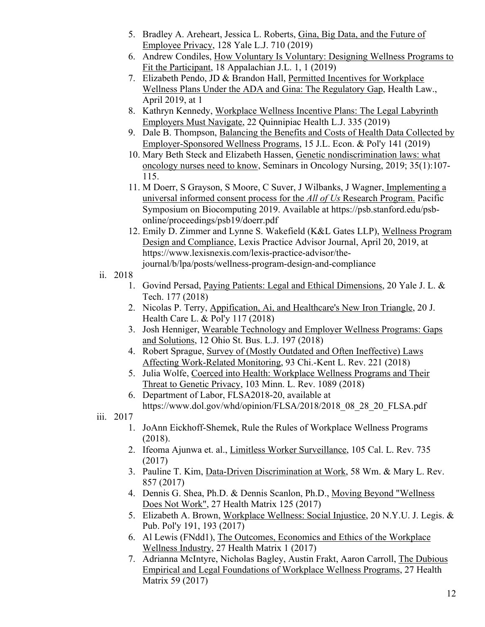- 5. Bradley A. Areheart, Jessica L. Roberts, Gina, Big Data, and the Future of Employee Privacy, 128 Yale L.J. 710 (2019)
- 6. Andrew Condiles, How Voluntary Is Voluntary: Designing Wellness Programs to Fit the Participant, 18 Appalachian J.L. 1, 1 (2019)
- 7. Elizabeth Pendo, JD & Brandon Hall, Permitted Incentives for Workplace Wellness Plans Under the ADA and Gina: The Regulatory Gap, Health Law., April 2019, at 1
- 8. Kathryn Kennedy, Workplace Wellness Incentive Plans: The Legal Labyrinth Employers Must Navigate, 22 Quinnipiac Health L.J. 335 (2019)
- 9. Dale B. Thompson, Balancing the Benefits and Costs of Health Data Collected by Employer-Sponsored Wellness Programs, 15 J.L. Econ. & Pol'y 141 (2019)
- 10. Mary Beth Steck and Elizabeth Hassen, Genetic nondiscrimination laws: what oncology nurses need to know, Seminars in Oncology Nursing, 2019; 35(1):107- 115.
- 11. M Doerr, S Grayson, S Moore, C Suver, J Wilbanks, J Wagner, Implementing a universal informed consent process for the *All of Us* Research Program. Pacific Symposium on Biocomputing 2019. Available at https://psb.stanford.edu/psbonline/proceedings/psb19/doerr.pdf
- 12. Emily D. Zimmer and Lynne S. Wakefield (K&L Gates LLP), Wellness Program Design and Compliance, Lexis Practice Advisor Journal, April 20, 2019, at https://www.lexisnexis.com/lexis-practice-advisor/thejournal/b/lpa/posts/wellness-program-design-and-compliance
- ii. 2018
	- 1. Govind Persad, Paying Patients: Legal and Ethical Dimensions, 20 Yale J. L. & Tech. 177 (2018)
	- 2. Nicolas P. Terry, Appification, Ai, and Healthcare's New Iron Triangle, 20 J. Health Care L. & Pol'y 117 (2018)
	- 3. Josh Henniger, Wearable Technology and Employer Wellness Programs: Gaps and Solutions, 12 Ohio St. Bus. L.J. 197 (2018)
	- 4. Robert Sprague, Survey of (Mostly Outdated and Often Ineffective) Laws Affecting Work-Related Monitoring, 93 Chi.-Kent L. Rev. 221 (2018)
	- 5. Julia Wolfe, Coerced into Health: Workplace Wellness Programs and Their Threat to Genetic Privacy, 103 Minn. L. Rev. 1089 (2018)
	- 6. Department of Labor, FLSA2018-20, available at https://www.dol.gov/whd/opinion/FLSA/2018/2018\_08\_28\_20\_FLSA.pdf
- iii. 2017
	- 1. JoAnn Eickhoff-Shemek, Rule the Rules of Workplace Wellness Programs (2018).
	- 2. Ifeoma Ajunwa et. al., Limitless Worker Surveillance, 105 Cal. L. Rev. 735 (2017)
	- 3. Pauline T. Kim, Data-Driven Discrimination at Work, 58 Wm. & Mary L. Rev. 857 (2017)
	- 4. Dennis G. Shea, Ph.D. & Dennis Scanlon, Ph.D., Moving Beyond "Wellness Does Not Work", 27 Health Matrix 125 (2017)
	- 5. Elizabeth A. Brown, Workplace Wellness: Social Injustice, 20 N.Y.U. J. Legis. & Pub. Pol'y 191, 193 (2017)
	- 6. Al Lewis (FNdd1), The Outcomes, Economics and Ethics of the Workplace Wellness Industry, 27 Health Matrix 1 (2017)
	- 7. Adrianna McIntyre, Nicholas Bagley, Austin Frakt, Aaron Carroll, The Dubious Empirical and Legal Foundations of Workplace Wellness Programs, 27 Health Matrix 59 (2017)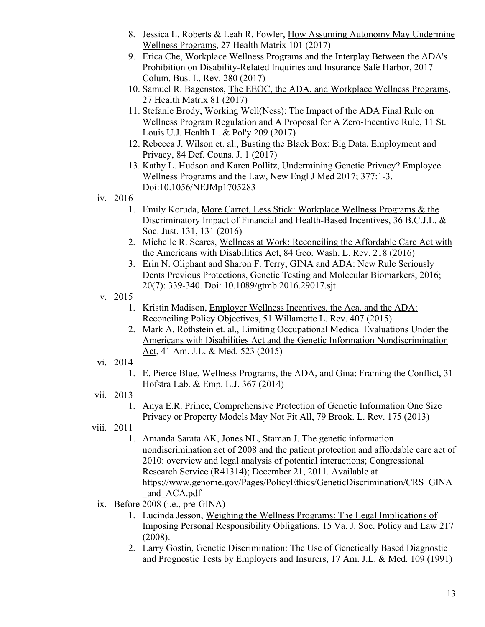- 8. Jessica L. Roberts & Leah R. Fowler, How Assuming Autonomy May Undermine Wellness Programs, 27 Health Matrix 101 (2017)
- 9. Erica Che, Workplace Wellness Programs and the Interplay Between the ADA's Prohibition on Disability-Related Inquiries and Insurance Safe Harbor, 2017 Colum. Bus. L. Rev. 280 (2017)
- 10. Samuel R. Bagenstos, The EEOC, the ADA, and Workplace Wellness Programs, 27 Health Matrix 81 (2017)
- 11. Stefanie Brody, Working Well(Ness): The Impact of the ADA Final Rule on Wellness Program Regulation and A Proposal for A Zero-Incentive Rule, 11 St. Louis U.J. Health L. & Pol'y 209 (2017)
- 12. Rebecca J. Wilson et. al., Busting the Black Box: Big Data, Employment and Privacy, 84 Def. Couns. J. 1 (2017)
- 13. Kathy L. Hudson and Karen Pollitz, Undermining Genetic Privacy? Employee Wellness Programs and the Law, New Engl J Med 2017; 377:1-3. Doi:10.1056/NEJMp1705283
- iv. 2016
	- 1. Emily Koruda, More Carrot, Less Stick: Workplace Wellness Programs & the Discriminatory Impact of Financial and Health-Based Incentives, 36 B.C.J.L. & Soc. Just. 131, 131 (2016)
	- 2. Michelle R. Seares, Wellness at Work: Reconciling the Affordable Care Act with the Americans with Disabilities Act, 84 Geo. Wash. L. Rev. 218 (2016)
	- 3. Erin N. Oliphant and Sharon F. Terry, GINA and ADA: New Rule Seriously Dents Previous Protections, Genetic Testing and Molecular Biomarkers, 2016; 20(7): 339-340. Doi: 10.1089/gtmb.2016.29017.sjt
- v. 2015
	- 1. Kristin Madison, Employer Wellness Incentives, the Aca, and the ADA: Reconciling Policy Objectives, 51 Willamette L. Rev. 407 (2015)
	- 2. Mark A. Rothstein et. al., Limiting Occupational Medical Evaluations Under the Americans with Disabilities Act and the Genetic Information Nondiscrimination Act, 41 Am. J.L. & Med. 523 (2015)
- vi. 2014
	- 1. E. Pierce Blue, Wellness Programs, the ADA, and Gina: Framing the Conflict, 31 Hofstra Lab. & Emp. L.J. 367 (2014)
- vii. 2013
	- 1. Anya E.R. Prince, Comprehensive Protection of Genetic Information One Size Privacy or Property Models May Not Fit All, 79 Brook. L. Rev. 175 (2013)
- viii. 2011
	- 1. Amanda Sarata AK, Jones NL, Staman J. The genetic information nondiscrimination act of 2008 and the patient protection and affordable care act of 2010: overview and legal analysis of potential interactions; Congressional Research Service (R41314); December 21, 2011. Available at https://www.genome.gov/Pages/PolicyEthics/GeneticDiscrimination/CRS\_GINA \_and\_ACA.pdf
	- ix. Before 2008 (i.e., pre-GINA)
		- 1. Lucinda Jesson, Weighing the Wellness Programs: The Legal Implications of Imposing Personal Responsibility Obligations, 15 Va. J. Soc. Policy and Law 217 (2008).
		- 2. Larry Gostin, Genetic Discrimination: The Use of Genetically Based Diagnostic and Prognostic Tests by Employers and Insurers, 17 Am. J.L. & Med. 109 (1991)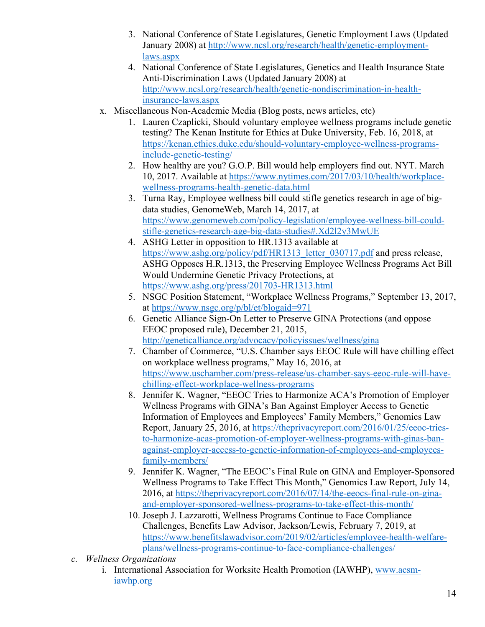- 3. National Conference of State Legislatures, Genetic Employment Laws (Updated January 2008) at http://www.ncsl.org/research/health/genetic-employmentlaws.aspx
- 4. National Conference of State Legislatures, Genetics and Health Insurance State Anti-Discrimination Laws (Updated January 2008) at http://www.ncsl.org/research/health/genetic-nondiscrimination-in-healthinsurance-laws.aspx
- x. Miscellaneous Non-Academic Media (Blog posts, news articles, etc)
	- 1. Lauren Czaplicki, Should voluntary employee wellness programs include genetic testing? The Kenan Institute for Ethics at Duke University, Feb. 16, 2018, at https://kenan.ethics.duke.edu/should-voluntary-employee-wellness-programsinclude-genetic-testing/
	- 2. How healthy are you? G.O.P. Bill would help employers find out. NYT. March 10, 2017. Available at https://www.nytimes.com/2017/03/10/health/workplacewellness-programs-health-genetic-data.html
	- 3. Turna Ray, Employee wellness bill could stifle genetics research in age of bigdata studies, GenomeWeb, March 14, 2017, at https://www.genomeweb.com/policy-legislation/employee-wellness-bill-couldstifle-genetics-research-age-big-data-studies#.Xd2l2y3MwUE
	- 4. ASHG Letter in opposition to HR.1313 available at https://www.ashg.org/policy/pdf/HR1313\_letter\_030717.pdf and press release, ASHG Opposes H.R.1313, the Preserving Employee Wellness Programs Act Bill Would Undermine Genetic Privacy Protections, at https://www.ashg.org/press/201703-HR1313.html
	- 5. NSGC Position Statement, "Workplace Wellness Programs," September 13, 2017, at https://www.nsgc.org/p/bl/et/blogaid=971
	- 6. Genetic Alliance Sign-On Letter to Preserve GINA Protections (and oppose EEOC proposed rule), December 21, 2015, http://geneticalliance.org/advocacy/policyissues/wellness/gina
	- 7. Chamber of Commerce, "U.S. Chamber says EEOC Rule will have chilling effect on workplace wellness programs," May 16, 2016, at https://www.uschamber.com/press-release/us-chamber-says-eeoc-rule-will-havechilling-effect-workplace-wellness-programs
	- 8. Jennifer K. Wagner, "EEOC Tries to Harmonize ACA's Promotion of Employer Wellness Programs with GINA's Ban Against Employer Access to Genetic Information of Employees and Employees' Family Members," Genomics Law Report, January 25, 2016, at https://theprivacyreport.com/2016/01/25/eeoc-triesto-harmonize-acas-promotion-of-employer-wellness-programs-with-ginas-banagainst-employer-access-to-genetic-information-of-employees-and-employeesfamily-members/
	- 9. Jennifer K. Wagner, "The EEOC's Final Rule on GINA and Employer-Sponsored Wellness Programs to Take Effect This Month," Genomics Law Report, July 14, 2016, at https://theprivacyreport.com/2016/07/14/the-eeocs-final-rule-on-ginaand-employer-sponsored-wellness-programs-to-take-effect-this-month/
	- 10. Joseph J. Lazzarotti, Wellness Programs Continue to Face Compliance Challenges, Benefits Law Advisor, Jackson/Lewis, February 7, 2019, at https://www.benefitslawadvisor.com/2019/02/articles/employee-health-welfareplans/wellness-programs-continue-to-face-compliance-challenges/
- *c. Wellness Organizations*
	- i. International Association for Worksite Health Promotion (IAWHP), www.acsmiawhp.org